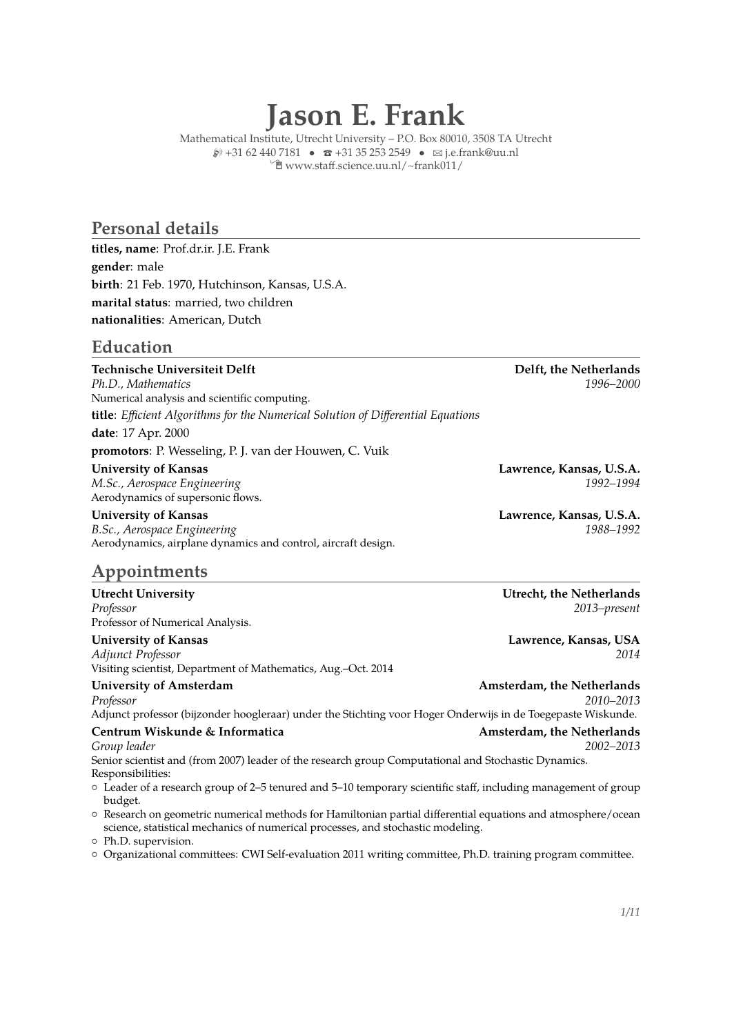# **Jason E. Frank**

Mathematical Institute, Utrecht University – P.O. Box 80010, 3508 TA Utrecht  $\wp$  +31 62 440 7181 •  $\bar{x}$  +31 35 253 2549 •  $\boxtimes$  [j.e.frank@uu.nl](mailto:j.e.frank@uu.nl) Í [www.staff.science.uu.nl/~frank011/](http://www.staff.science.uu.nl/{~}frank011/)

#### **Personal details**

**titles, name**: Prof.dr.ir. J.E. Frank **gender**: male **birth**: 21 Feb. 1970, Hutchinson, Kansas, U.S.A. **marital status**: married, two children **nationalities**: American, Dutch

#### **Education**

**Technische Universiteit Delft Delft, the Netherlands** *Ph.D., Mathematics 1996–2000* Numerical analysis and scientific computing. **title**: *Efficient Algorithms for the Numerical Solution of Differential Equations* **date**: 17 Apr. 2000

**promotors**: P. Wesseling, P. J. van der Houwen, C. Vuik

*M.Sc., Aerospace Engineering 1992–1994* Aerodynamics of supersonic flows.

Aerodynamics, airplane dynamics and control, aircraft design.

# **Appointments**

**Utrecht University Utrecht, the Netherlands** *Professor 2013–present* Professor of Numerical Analysis.

#### **University of Kansas Lawrence, Kansas, USA**

*Adjunct Professor 2014*

Visiting scientist, Department of Mathematics, Aug.–Oct. 2014

**University of Amsterdam Amsterdam, the Netherlands**

*Professor 2010–2013* Adjunct professor (bijzonder hoogleraar) under the Stichting voor Hoger Onderwijs in de Toegepaste Wiskunde.

# **Centrum Wiskunde & Informatica Amsterdam, the Netherlands**

*Group leader 2002–2013* Senior scientist and (from 2007) leader of the research group Computational and Stochastic Dynamics. Responsibilities:

{ Leader of a research group of 2–5 tenured and 5–10 temporary scientific staff, including management of group budget.

{ Research on geometric numerical methods for Hamiltonian partial differential equations and atmosphere/ocean science, statistical mechanics of numerical processes, and stochastic modeling.

{ Ph.D. supervision.

{ Organizational committees: CWI Self-evaluation 2011 writing committee, Ph.D. training program committee.

**University of Kansas Lawrence, Kansas, U.S.A.**

**University of Kansas Lawrence, Kansas, U.S.A.** *B.Sc., Aerospace Engineering 1988–1992*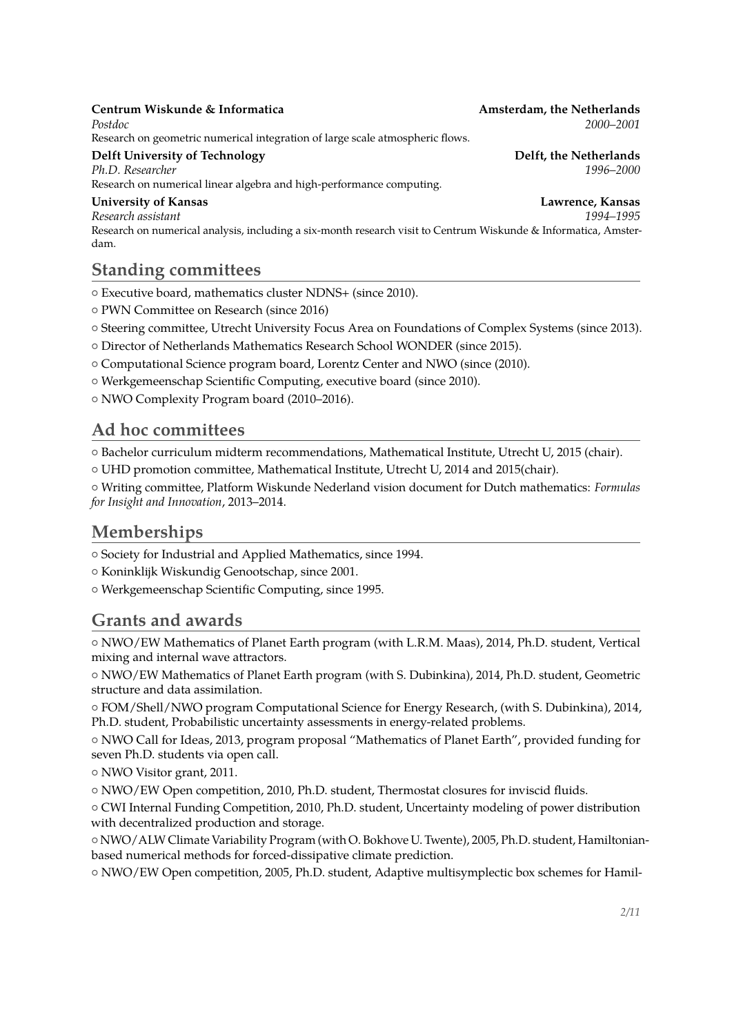#### **Centrum Wiskunde & Informatica Amsterdam, the Netherlands**

*Postdoc 2000–2001* Research on geometric numerical integration of large scale atmospheric flows.

**Delft University of Technology Delft, the Netherlands**<br> *Ph.D. Researcher* (1996–2000) *Ph.D. Researcher 1996–2000* Research on numerical linear algebra and high-performance computing.

#### **University of Kansas Lawrence, Kansas**

*Research assistant 1994–1995* Research on numerical analysis, including a six-month research visit to Centrum Wiskunde & Informatica, Amsterdam.

# **Standing committees**

{ Executive board, mathematics cluster NDNS+ (since 2010).

- { PWN Committee on Research (since 2016)
- { Steering committee, Utrecht University Focus Area on Foundations of Complex Systems (since 2013).

{ Director of Netherlands Mathematics Research School WONDER (since 2015).

{ Computational Science program board, Lorentz Center and NWO (since (2010).

{ Werkgemeenschap Scientific Computing, executive board (since 2010).

{ NWO Complexity Program board (2010–2016).

### **Ad hoc committees**

{ Bachelor curriculum midterm recommendations, Mathematical Institute, Utrecht U, 2015 (chair).

{ UHD promotion committee, Mathematical Institute, Utrecht U, 2014 and 2015(chair).

{ Writing committee, Platform Wiskunde Nederland vision document for Dutch mathematics: *Formulas for Insight and Innovation*, 2013–2014.

# **Memberships**

{ Society for Industrial and Applied Mathematics, since 1994.

{ Koninklijk Wiskundig Genootschap, since 2001.

{ Werkgemeenschap Scientific Computing, since 1995.

# **Grants and awards**

{ NWO/EW Mathematics of Planet Earth program (with L.R.M. Maas), 2014, Ph.D. student, Vertical mixing and internal wave attractors.

{ NWO/EW Mathematics of Planet Earth program (with S. Dubinkina), 2014, Ph.D. student, Geometric structure and data assimilation.

{ FOM/Shell/NWO program Computational Science for Energy Research, (with S. Dubinkina), 2014, Ph.D. student, Probabilistic uncertainty assessments in energy-related problems.

{ NWO Call for Ideas, 2013, program proposal "Mathematics of Planet Earth", provided funding for seven Ph.D. students via open call.

{ NWO Visitor grant, 2011.

{ NWO/EW Open competition, 2010, Ph.D. student, Thermostat closures for inviscid fluids.

{ CWI Internal Funding Competition, 2010, Ph.D. student, Uncertainty modeling of power distribution with decentralized production and storage.

{ NWO/ALW Climate Variability Program (with O. Bokhove U. Twente), 2005, Ph.D. student, Hamiltonianbased numerical methods for forced-dissipative climate prediction.

{ NWO/EW Open competition, 2005, Ph.D. student, Adaptive multisymplectic box schemes for Hamil-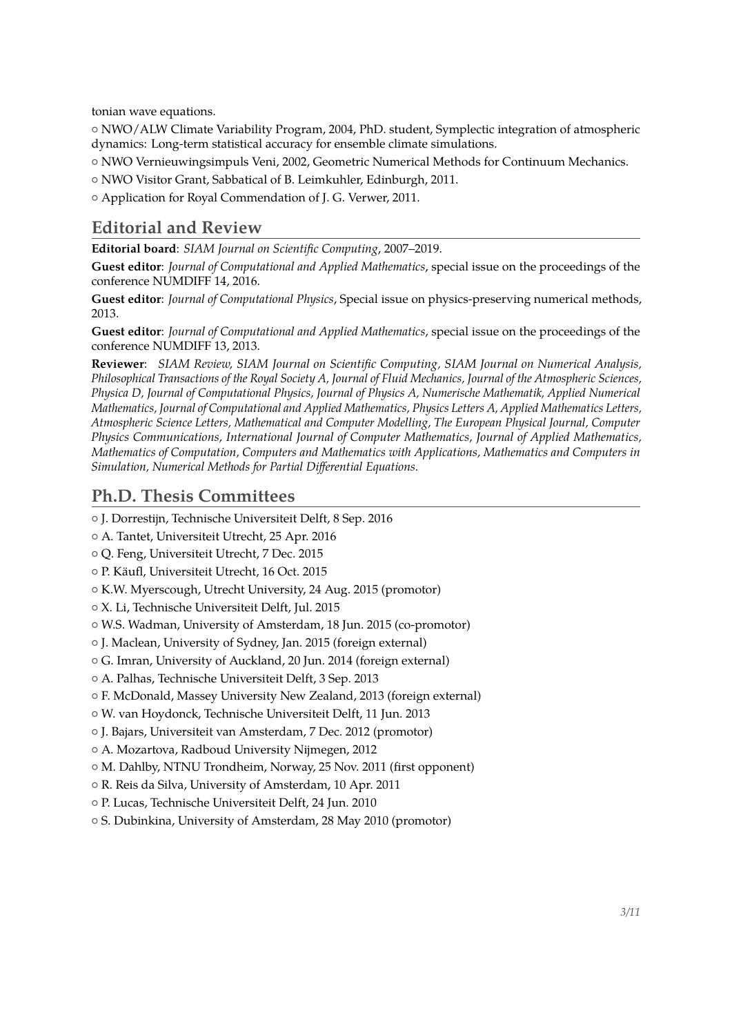tonian wave equations.

{ NWO/ALW Climate Variability Program, 2004, PhD. student, Symplectic integration of atmospheric dynamics: Long-term statistical accuracy for ensemble climate simulations.

{ NWO Vernieuwingsimpuls Veni, 2002, Geometric Numerical Methods for Continuum Mechanics.

{ NWO Visitor Grant, Sabbatical of B. Leimkuhler, Edinburgh, 2011.

{ Application for Royal Commendation of J. G. Verwer, 2011.

# **Editorial and Review**

**Editorial board**: *SIAM Journal on Scientific Computing*, 2007–2019.

**Guest editor**: *Journal of Computational and Applied Mathematics*, special issue on the proceedings of the conference NUMDIFF 14, 2016.

**Guest editor**: *Journal of Computational Physics*, Special issue on physics-preserving numerical methods, 2013.

**Guest editor**: *Journal of Computational and Applied Mathematics*, special issue on the proceedings of the conference NUMDIFF 13, 2013.

**Reviewer**: *SIAM Review, SIAM Journal on Scientific Computing, SIAM Journal on Numerical Analysis, Philosophical Transactions of the Royal Society A, Journal of Fluid Mechanics, Journal of the Atmospheric Sciences, Physica D, Journal of Computational Physics, Journal of Physics A, Numerische Mathematik, Applied Numerical Mathematics, Journal of Computational and Applied Mathematics, Physics Letters A, Applied Mathematics Letters, Atmospheric Science Letters, Mathematical and Computer Modelling, The European Physical Journal, Computer Physics Communications, International Journal of Computer Mathematics, Journal of Applied Mathematics, Mathematics of Computation, Computers and Mathematics with Applications, Mathematics and Computers in Simulation, Numerical Methods for Partial Differential Equations.*

## **Ph.D. Thesis Committees**

{ J. Dorrestijn, Technische Universiteit Delft, 8 Sep. 2016

{ A. Tantet, Universiteit Utrecht, 25 Apr. 2016

{ Q. Feng, Universiteit Utrecht, 7 Dec. 2015

{ P. Käufl, Universiteit Utrecht, 16 Oct. 2015

{ K.W. Myerscough, Utrecht University, 24 Aug. 2015 (promotor)

{ X. Li, Technische Universiteit Delft, Jul. 2015

{ W.S. Wadman, University of Amsterdam, 18 Jun. 2015 (co-promotor)

{ J. Maclean, University of Sydney, Jan. 2015 (foreign external)

{ G. Imran, University of Auckland, 20 Jun. 2014 (foreign external)

{ A. Palhas, Technische Universiteit Delft, 3 Sep. 2013

{ F. McDonald, Massey University New Zealand, 2013 (foreign external)

{ W. van Hoydonck, Technische Universiteit Delft, 11 Jun. 2013

{ J. Bajars, Universiteit van Amsterdam, 7 Dec. 2012 (promotor)

{ A. Mozartova, Radboud University Nijmegen, 2012

{ M. Dahlby, NTNU Trondheim, Norway, 25 Nov. 2011 (first opponent)

{ R. Reis da Silva, University of Amsterdam, 10 Apr. 2011

{ P. Lucas, Technische Universiteit Delft, 24 Jun. 2010

{ S. Dubinkina, University of Amsterdam, 28 May 2010 (promotor)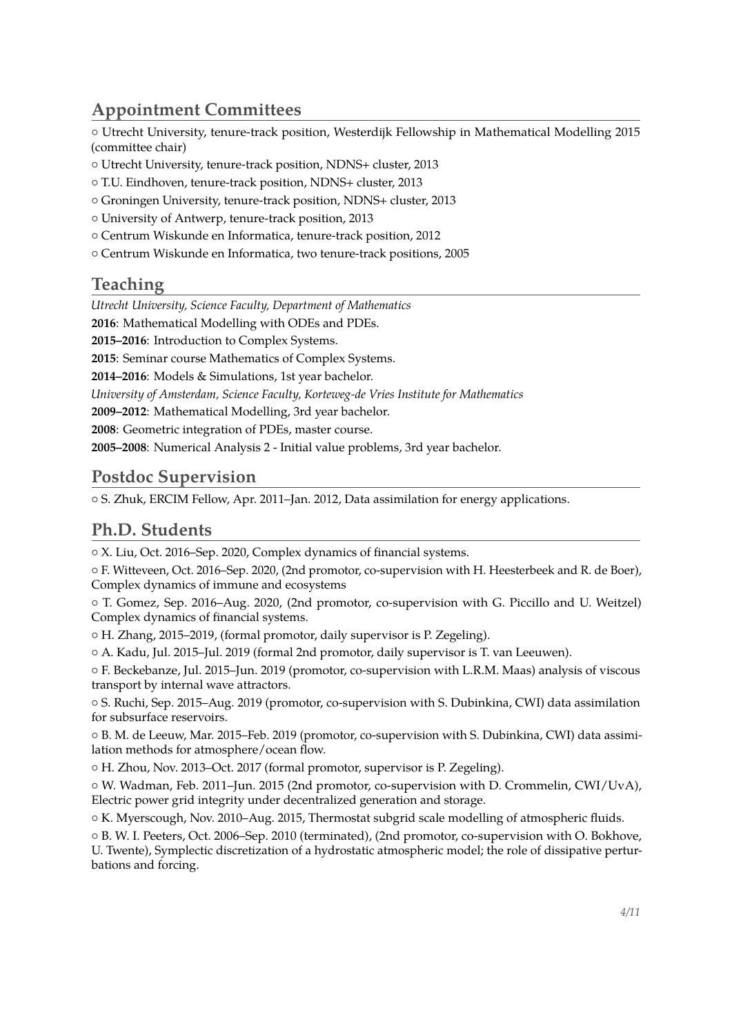# **Appointment Committees**

{ Utrecht University, tenure-track position, Westerdijk Fellowship in Mathematical Modelling 2015 (committee chair)

- { Utrecht University, tenure-track position, NDNS+ cluster, 2013
- { T.U. Eindhoven, tenure-track position, NDNS+ cluster, 2013
- { Groningen University, tenure-track position, NDNS+ cluster, 2013
- { University of Antwerp, tenure-track position, 2013
- { Centrum Wiskunde en Informatica, tenure-track position, 2012
- { Centrum Wiskunde en Informatica, two tenure-track positions, 2005

#### **Teaching**

*Utrecht University, Science Faculty, Department of Mathematics*

**2016**: Mathematical Modelling with ODEs and PDEs.

**2015–2016**: Introduction to Complex Systems.

**2015**: Seminar course Mathematics of Complex Systems.

**2014–2016**: Models & Simulations, 1st year bachelor.

*University of Amsterdam, Science Faculty, Korteweg-de Vries Institute for Mathematics*

**2009–2012**: Mathematical Modelling, 3rd year bachelor.

**2008**: Geometric integration of PDEs, master course.

**2005–2008**: Numerical Analysis 2 - Initial value problems, 3rd year bachelor.

#### **Postdoc Supervision**

{ S. Zhuk, ERCIM Fellow, Apr. 2011–Jan. 2012, Data assimilation for energy applications.

# **Ph.D. Students**

{ X. Liu, Oct. 2016–Sep. 2020, Complex dynamics of financial systems.

{ F. Witteveen, Oct. 2016–Sep. 2020, (2nd promotor, co-supervision with H. Heesterbeek and R. de Boer), Complex dynamics of immune and ecosystems

{ T. Gomez, Sep. 2016–Aug. 2020, (2nd promotor, co-supervision with G. Piccillo and U. Weitzel) Complex dynamics of financial systems.

{ H. Zhang, 2015–2019, (formal promotor, daily supervisor is P. Zegeling).

 $\circ$  A. Kadu, Jul. 2015–Jul. 2019 (formal 2nd promotor, daily supervisor is T. van Leeuwen).

{ F. Beckebanze, Jul. 2015–Jun. 2019 (promotor, co-supervision with L.R.M. Maas) analysis of viscous transport by internal wave attractors.

{ S. Ruchi, Sep. 2015–Aug. 2019 (promotor, co-supervision with S. Dubinkina, CWI) data assimilation for subsurface reservoirs.

{ B. M. de Leeuw, Mar. 2015–Feb. 2019 (promotor, co-supervision with S. Dubinkina, CWI) data assimilation methods for atmosphere/ocean flow.

{ H. Zhou, Nov. 2013–Oct. 2017 (formal promotor, supervisor is P. Zegeling).

{ W. Wadman, Feb. 2011–Jun. 2015 (2nd promotor, co-supervision with D. Crommelin, CWI/UvA), Electric power grid integrity under decentralized generation and storage.

 $\circ$  K. Myerscough, Nov. 2010–Aug. 2015, Thermostat subgrid scale modelling of atmospheric fluids.

{ B. W. I. Peeters, Oct. 2006–Sep. 2010 (terminated), (2nd promotor, co-supervision with O. Bokhove, U. Twente), Symplectic discretization of a hydrostatic atmospheric model; the role of dissipative perturbations and forcing.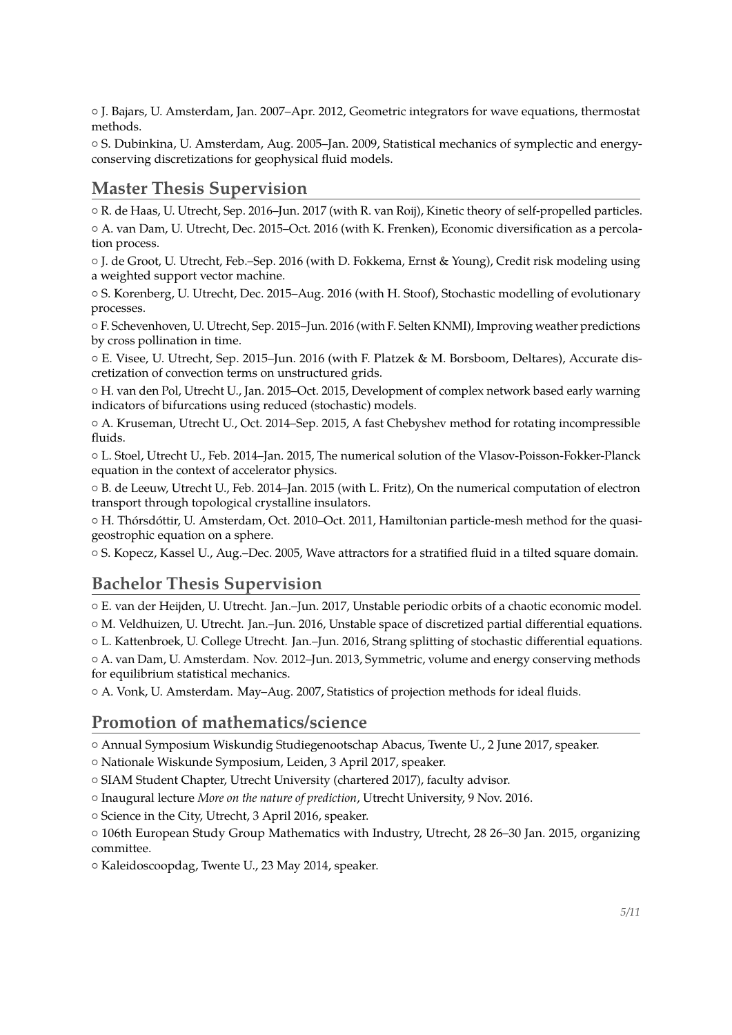{ J. Bajars, U. Amsterdam, Jan. 2007–Apr. 2012, Geometric integrators for wave equations, thermostat methods.

{ S. Dubinkina, U. Amsterdam, Aug. 2005–Jan. 2009, Statistical mechanics of symplectic and energyconserving discretizations for geophysical fluid models.

### **Master Thesis Supervision**

{ R. de Haas, U. Utrecht, Sep. 2016–Jun. 2017 (with R. van Roij), Kinetic theory of self-propelled particles. { A. van Dam, U. Utrecht, Dec. 2015–Oct. 2016 (with K. Frenken), Economic diversification as a percolation process.

{ J. de Groot, U. Utrecht, Feb.–Sep. 2016 (with D. Fokkema, Ernst & Young), Credit risk modeling using a weighted support vector machine.

{ S. Korenberg, U. Utrecht, Dec. 2015–Aug. 2016 (with H. Stoof), Stochastic modelling of evolutionary processes.

{ F. Schevenhoven, U. Utrecht, Sep. 2015–Jun. 2016 (with F. Selten KNMI), Improving weather predictions by cross pollination in time.

{ E. Visee, U. Utrecht, Sep. 2015–Jun. 2016 (with F. Platzek & M. Borsboom, Deltares), Accurate discretization of convection terms on unstructured grids.

{ H. van den Pol, Utrecht U., Jan. 2015–Oct. 2015, Development of complex network based early warning indicators of bifurcations using reduced (stochastic) models.

 $\circ$  A. Kruseman, Utrecht U., Oct. 2014–Sep. 2015, A fast Chebyshev method for rotating incompressible fluids.

{ L. Stoel, Utrecht U., Feb. 2014–Jan. 2015, The numerical solution of the Vlasov-Poisson-Fokker-Planck equation in the context of accelerator physics.

{ B. de Leeuw, Utrecht U., Feb. 2014–Jan. 2015 (with L. Fritz), On the numerical computation of electron transport through topological crystalline insulators.

{ H. Thórsdóttir, U. Amsterdam, Oct. 2010–Oct. 2011, Hamiltonian particle-mesh method for the quasigeostrophic equation on a sphere.

{ S. Kopecz, Kassel U., Aug.–Dec. 2005, Wave attractors for a stratified fluid in a tilted square domain.

### **Bachelor Thesis Supervision**

{ E. van der Heijden, U. Utrecht. Jan.–Jun. 2017, Unstable periodic orbits of a chaotic economic model. { M. Veldhuizen, U. Utrecht. Jan.–Jun. 2016, Unstable space of discretized partial differential equations.

{ L. Kattenbroek, U. College Utrecht. Jan.–Jun. 2016, Strang splitting of stochastic differential equations. { A. van Dam, U. Amsterdam. Nov. 2012–Jun. 2013, Symmetric, volume and energy conserving methods for equilibrium statistical mechanics.

 $\circ$  A. Vonk, U. Amsterdam. May–Aug. 2007, Statistics of projection methods for ideal fluids.

#### **Promotion of mathematics/science**

{ Annual Symposium Wiskundig Studiegenootschap Abacus, Twente U., 2 June 2017, speaker.

{ Nationale Wiskunde Symposium, Leiden, 3 April 2017, speaker.

{ SIAM Student Chapter, Utrecht University (chartered 2017), faculty advisor.

{ Inaugural lecture *More on the nature of prediction*, Utrecht University, 9 Nov. 2016.

 $\circ$  Science in the City, Utrecht, 3 April 2016, speaker.

{ 106th European Study Group Mathematics with Industry, Utrecht, 28 26–30 Jan. 2015, organizing committee.

{ Kaleidoscoopdag, Twente U., 23 May 2014, speaker.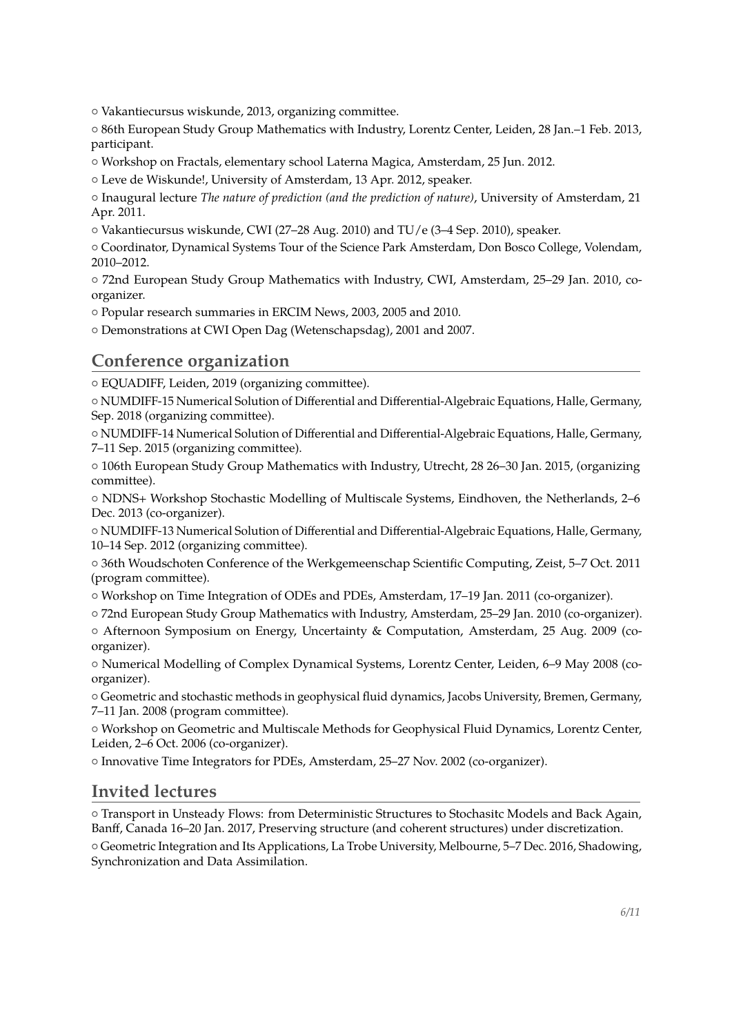{ Vakantiecursus wiskunde, 2013, organizing committee.

{ 86th European Study Group Mathematics with Industry, Lorentz Center, Leiden, 28 Jan.–1 Feb. 2013, participant.

{ Workshop on Fractals, elementary school Laterna Magica, Amsterdam, 25 Jun. 2012.

{ Leve de Wiskunde!, University of Amsterdam, 13 Apr. 2012, speaker.

{ Inaugural lecture *The nature of prediction (and the prediction of nature)*, University of Amsterdam, 21 Apr. 2011.

{ Vakantiecursus wiskunde, CWI (27–28 Aug. 2010) and TU/e (3–4 Sep. 2010), speaker.

{ Coordinator, Dynamical Systems Tour of the Science Park Amsterdam, Don Bosco College, Volendam, 2010–2012.

{ 72nd European Study Group Mathematics with Industry, CWI, Amsterdam, 25–29 Jan. 2010, coorganizer.

{ Popular research summaries in ERCIM News, 2003, 2005 and 2010.

{ Demonstrations at CWI Open Dag (Wetenschapsdag), 2001 and 2007.

#### **Conference organization**

{ EQUADIFF, Leiden, 2019 (organizing committee).

{ NUMDIFF-15 Numerical Solution of Differential and Differential-Algebraic Equations, Halle, Germany, Sep. 2018 (organizing committee).

{ NUMDIFF-14 Numerical Solution of Differential and Differential-Algebraic Equations, Halle, Germany, 7–11 Sep. 2015 (organizing committee).

{ 106th European Study Group Mathematics with Industry, Utrecht, 28 26–30 Jan. 2015, (organizing committee).

{ NDNS+ Workshop Stochastic Modelling of Multiscale Systems, Eindhoven, the Netherlands, 2–6 Dec. 2013 (co-organizer).

{ NUMDIFF-13 Numerical Solution of Differential and Differential-Algebraic Equations, Halle, Germany, 10–14 Sep. 2012 (organizing committee).

{ 36th Woudschoten Conference of the Werkgemeenschap Scientific Computing, Zeist, 5–7 Oct. 2011 (program committee).

{ Workshop on Time Integration of ODEs and PDEs, Amsterdam, 17–19 Jan. 2011 (co-organizer).

{ 72nd European Study Group Mathematics with Industry, Amsterdam, 25–29 Jan. 2010 (co-organizer).

{ Afternoon Symposium on Energy, Uncertainty & Computation, Amsterdam, 25 Aug. 2009 (coorganizer).

{ Numerical Modelling of Complex Dynamical Systems, Lorentz Center, Leiden, 6–9 May 2008 (coorganizer).

{ Geometric and stochastic methods in geophysical fluid dynamics, Jacobs University, Bremen, Germany, 7–11 Jan. 2008 (program committee).

{ Workshop on Geometric and Multiscale Methods for Geophysical Fluid Dynamics, Lorentz Center, Leiden, 2–6 Oct. 2006 (co-organizer).

{ Innovative Time Integrators for PDEs, Amsterdam, 25–27 Nov. 2002 (co-organizer).

#### **Invited lectures**

{ Transport in Unsteady Flows: from Deterministic Structures to Stochasitc Models and Back Again, Banff, Canada 16–20 Jan. 2017, Preserving structure (and coherent structures) under discretization.

{ Geometric Integration and Its Applications, La Trobe University, Melbourne, 5–7 Dec. 2016, Shadowing, Synchronization and Data Assimilation.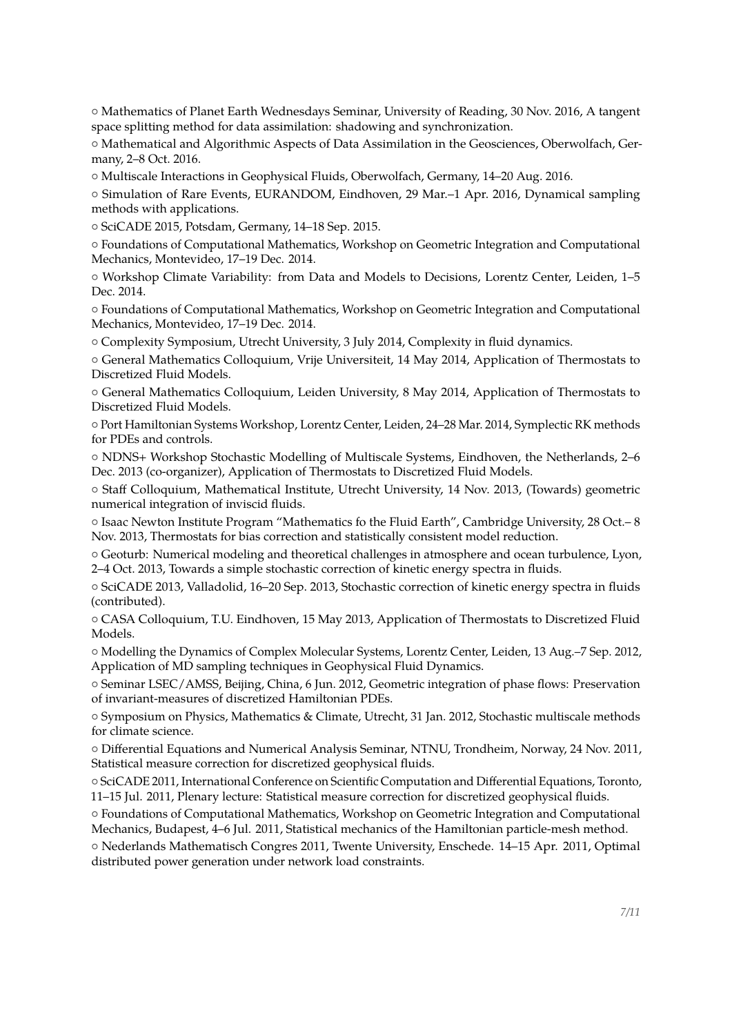{ Mathematics of Planet Earth Wednesdays Seminar, University of Reading, 30 Nov. 2016, A tangent space splitting method for data assimilation: shadowing and synchronization.

{ Mathematical and Algorithmic Aspects of Data Assimilation in the Geosciences, Oberwolfach, Germany, 2–8 Oct. 2016.

{ Multiscale Interactions in Geophysical Fluids, Oberwolfach, Germany, 14–20 Aug. 2016.

{ Simulation of Rare Events, EURANDOM, Eindhoven, 29 Mar.–1 Apr. 2016, Dynamical sampling methods with applications.

{ SciCADE 2015, Potsdam, Germany, 14–18 Sep. 2015.

{ Foundations of Computational Mathematics, Workshop on Geometric Integration and Computational Mechanics, Montevideo, 17–19 Dec. 2014.

{ Workshop Climate Variability: from Data and Models to Decisions, Lorentz Center, Leiden, 1–5 Dec. 2014.

{ Foundations of Computational Mathematics, Workshop on Geometric Integration and Computational Mechanics, Montevideo, 17–19 Dec. 2014.

{ Complexity Symposium, Utrecht University, 3 July 2014, Complexity in fluid dynamics.

{ General Mathematics Colloquium, Vrije Universiteit, 14 May 2014, Application of Thermostats to Discretized Fluid Models.

{ General Mathematics Colloquium, Leiden University, 8 May 2014, Application of Thermostats to Discretized Fluid Models.

{ Port Hamiltonian Systems Workshop, Lorentz Center, Leiden, 24–28 Mar. 2014, Symplectic RK methods for PDEs and controls.

{ NDNS+ Workshop Stochastic Modelling of Multiscale Systems, Eindhoven, the Netherlands, 2–6 Dec. 2013 (co-organizer), Application of Thermostats to Discretized Fluid Models.

{ Staff Colloquium, Mathematical Institute, Utrecht University, 14 Nov. 2013, (Towards) geometric numerical integration of inviscid fluids.

{ Isaac Newton Institute Program "Mathematics fo the Fluid Earth", Cambridge University, 28 Oct.– 8 Nov. 2013, Thermostats for bias correction and statistically consistent model reduction.

{ Geoturb: Numerical modeling and theoretical challenges in atmosphere and ocean turbulence, Lyon, 2–4 Oct. 2013, Towards a simple stochastic correction of kinetic energy spectra in fluids.

{ SciCADE 2013, Valladolid, 16–20 Sep. 2013, Stochastic correction of kinetic energy spectra in fluids (contributed).

{ CASA Colloquium, T.U. Eindhoven, 15 May 2013, Application of Thermostats to Discretized Fluid Models.

{ Modelling the Dynamics of Complex Molecular Systems, Lorentz Center, Leiden, 13 Aug.–7 Sep. 2012, Application of MD sampling techniques in Geophysical Fluid Dynamics.

{ Seminar LSEC/AMSS, Beijing, China, 6 Jun. 2012, Geometric integration of phase flows: Preservation of invariant-measures of discretized Hamiltonian PDEs.

{ Symposium on Physics, Mathematics & Climate, Utrecht, 31 Jan. 2012, Stochastic multiscale methods for climate science.

{ Differential Equations and Numerical Analysis Seminar, NTNU, Trondheim, Norway, 24 Nov. 2011, Statistical measure correction for discretized geophysical fluids.

{ SciCADE 2011, International Conference on Scientific Computation and Differential Equations, Toronto, 11–15 Jul. 2011, Plenary lecture: Statistical measure correction for discretized geophysical fluids.

{ Foundations of Computational Mathematics, Workshop on Geometric Integration and Computational Mechanics, Budapest, 4–6 Jul. 2011, Statistical mechanics of the Hamiltonian particle-mesh method.

{ Nederlands Mathematisch Congres 2011, Twente University, Enschede. 14–15 Apr. 2011, Optimal distributed power generation under network load constraints.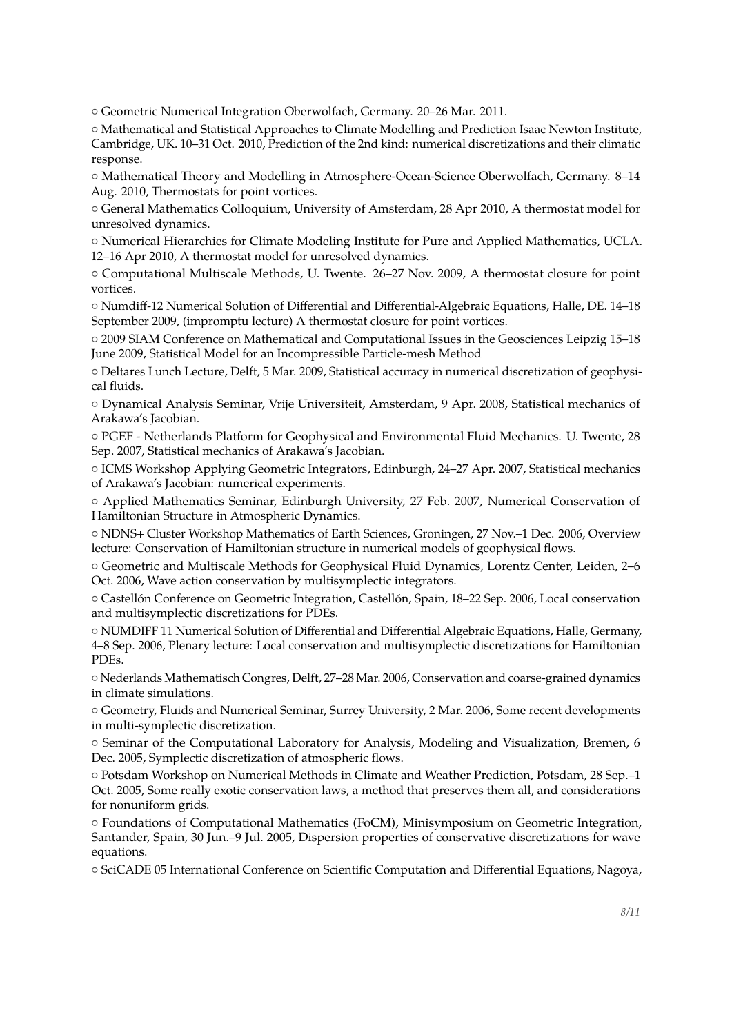{ Geometric Numerical Integration Oberwolfach, Germany. 20–26 Mar. 2011.

{ Mathematical and Statistical Approaches to Climate Modelling and Prediction Isaac Newton Institute, Cambridge, UK. 10–31 Oct. 2010, Prediction of the 2nd kind: numerical discretizations and their climatic response.

{ Mathematical Theory and Modelling in Atmosphere-Ocean-Science Oberwolfach, Germany. 8–14 Aug. 2010, Thermostats for point vortices.

{ General Mathematics Colloquium, University of Amsterdam, 28 Apr 2010, A thermostat model for unresolved dynamics.

{ Numerical Hierarchies for Climate Modeling Institute for Pure and Applied Mathematics, UCLA. 12–16 Apr 2010, A thermostat model for unresolved dynamics.

{ Computational Multiscale Methods, U. Twente. 26–27 Nov. 2009, A thermostat closure for point vortices.

{ Numdiff-12 Numerical Solution of Differential and Differential-Algebraic Equations, Halle, DE. 14–18 September 2009, (impromptu lecture) A thermostat closure for point vortices.

{ 2009 SIAM Conference on Mathematical and Computational Issues in the Geosciences Leipzig 15–18 June 2009, Statistical Model for an Incompressible Particle-mesh Method

{ Deltares Lunch Lecture, Delft, 5 Mar. 2009, Statistical accuracy in numerical discretization of geophysical fluids.

{ Dynamical Analysis Seminar, Vrije Universiteit, Amsterdam, 9 Apr. 2008, Statistical mechanics of Arakawa's Jacobian.

{ PGEF - Netherlands Platform for Geophysical and Environmental Fluid Mechanics. U. Twente, 28 Sep. 2007, Statistical mechanics of Arakawa's Jacobian.

{ ICMS Workshop Applying Geometric Integrators, Edinburgh, 24–27 Apr. 2007, Statistical mechanics of Arakawa's Jacobian: numerical experiments.

{ Applied Mathematics Seminar, Edinburgh University, 27 Feb. 2007, Numerical Conservation of Hamiltonian Structure in Atmospheric Dynamics.

{ NDNS+ Cluster Workshop Mathematics of Earth Sciences, Groningen, 27 Nov.–1 Dec. 2006, Overview lecture: Conservation of Hamiltonian structure in numerical models of geophysical flows.

{ Geometric and Multiscale Methods for Geophysical Fluid Dynamics, Lorentz Center, Leiden, 2–6 Oct. 2006, Wave action conservation by multisymplectic integrators.

{ Castellón Conference on Geometric Integration, Castellón, Spain, 18–22 Sep. 2006, Local conservation and multisymplectic discretizations for PDEs.

{ NUMDIFF 11 Numerical Solution of Differential and Differential Algebraic Equations, Halle, Germany, 4–8 Sep. 2006, Plenary lecture: Local conservation and multisymplectic discretizations for Hamiltonian PDEs.

{ Nederlands Mathematisch Congres, Delft, 27–28 Mar. 2006, Conservation and coarse-grained dynamics in climate simulations.

{ Geometry, Fluids and Numerical Seminar, Surrey University, 2 Mar. 2006, Some recent developments in multi-symplectic discretization.

{ Seminar of the Computational Laboratory for Analysis, Modeling and Visualization, Bremen, 6 Dec. 2005, Symplectic discretization of atmospheric flows.

{ Potsdam Workshop on Numerical Methods in Climate and Weather Prediction, Potsdam, 28 Sep.–1 Oct. 2005, Some really exotic conservation laws, a method that preserves them all, and considerations for nonuniform grids.

{ Foundations of Computational Mathematics (FoCM), Minisymposium on Geometric Integration, Santander, Spain, 30 Jun.–9 Jul. 2005, Dispersion properties of conservative discretizations for wave equations.

{ SciCADE 05 International Conference on Scientific Computation and Differential Equations, Nagoya,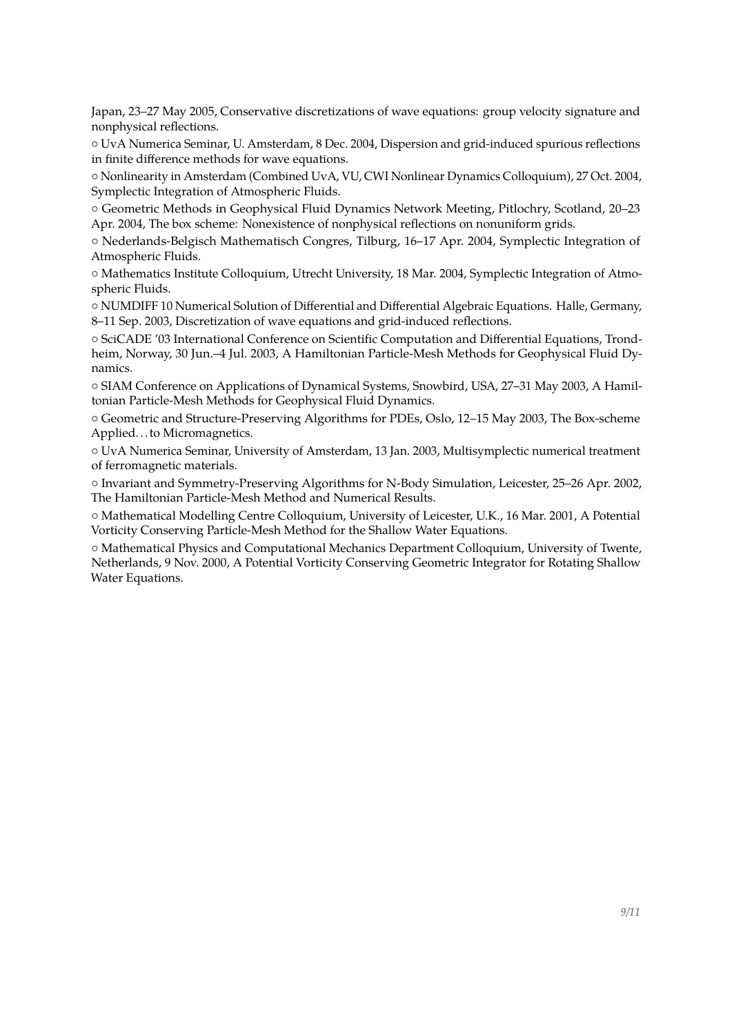Japan, 23–27 May 2005, Conservative discretizations of wave equations: group velocity signature and nonphysical reflections.

{ UvA Numerica Seminar, U. Amsterdam, 8 Dec. 2004, Dispersion and grid-induced spurious reflections in finite difference methods for wave equations.

{ Nonlinearity in Amsterdam (Combined UvA, VU, CWI Nonlinear Dynamics Colloquium), 27 Oct. 2004, Symplectic Integration of Atmospheric Fluids.

{ Geometric Methods in Geophysical Fluid Dynamics Network Meeting, Pitlochry, Scotland, 20–23 Apr. 2004, The box scheme: Nonexistence of nonphysical reflections on nonuniform grids.

{ Nederlands-Belgisch Mathematisch Congres, Tilburg, 16–17 Apr. 2004, Symplectic Integration of Atmospheric Fluids.

{ Mathematics Institute Colloquium, Utrecht University, 18 Mar. 2004, Symplectic Integration of Atmospheric Fluids.

{ NUMDIFF 10 Numerical Solution of Differential and Differential Algebraic Equations. Halle, Germany, 8–11 Sep. 2003, Discretization of wave equations and grid-induced reflections.

{ SciCADE '03 International Conference on Scientific Computation and Differential Equations, Trondheim, Norway, 30 Jun.–4 Jul. 2003, A Hamiltonian Particle-Mesh Methods for Geophysical Fluid Dynamics.

{ SIAM Conference on Applications of Dynamical Systems, Snowbird, USA, 27–31 May 2003, A Hamiltonian Particle-Mesh Methods for Geophysical Fluid Dynamics.

{ Geometric and Structure-Preserving Algorithms for PDEs, Oslo, 12–15 May 2003, The Box-scheme Applied. . . to Micromagnetics.

{ UvA Numerica Seminar, University of Amsterdam, 13 Jan. 2003, Multisymplectic numerical treatment of ferromagnetic materials.

{ Invariant and Symmetry-Preserving Algorithms for N-Body Simulation, Leicester, 25–26 Apr. 2002, The Hamiltonian Particle-Mesh Method and Numerical Results.

{ Mathematical Modelling Centre Colloquium, University of Leicester, U.K., 16 Mar. 2001, A Potential Vorticity Conserving Particle-Mesh Method for the Shallow Water Equations.

{ Mathematical Physics and Computational Mechanics Department Colloquium, University of Twente, Netherlands, 9 Nov. 2000, A Potential Vorticity Conserving Geometric Integrator for Rotating Shallow Water Equations.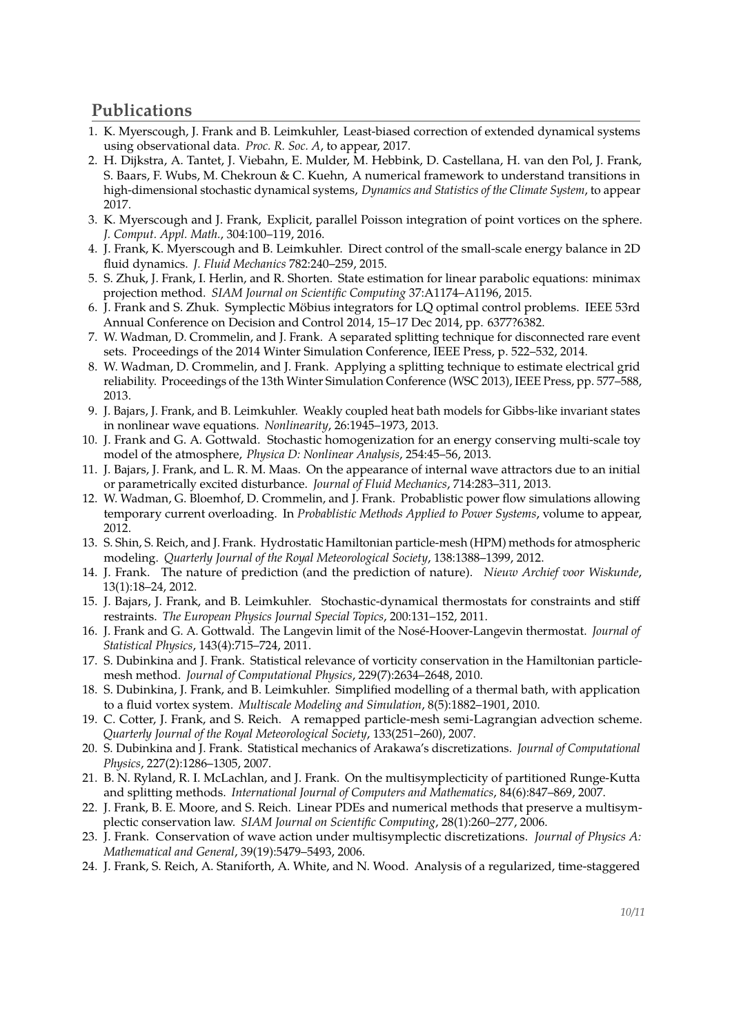# **Publications**

- 1. K. Myerscough, J. Frank and B. Leimkuhler, Least-biased correction of extended dynamical systems using observational data. *Proc. R. Soc. A*, to appear, 2017.
- 2. H. Dijkstra, A. Tantet, J. Viebahn, E. Mulder, M. Hebbink, D. Castellana, H. van den Pol, J. Frank, S. Baars, F. Wubs, M. Chekroun & C. Kuehn, A numerical framework to understand transitions in high-dimensional stochastic dynamical systems, *Dynamics and Statistics of the Climate System*, to appear 2017.
- 3. K. Myerscough and J. Frank, Explicit, parallel Poisson integration of point vortices on the sphere. *J. Comput. Appl. Math.*, 304:100–119, 2016.
- 4. J. Frank, K. Myerscough and B. Leimkuhler. Direct control of the small-scale energy balance in 2D fluid dynamics. *J. Fluid Mechanics* 782:240–259, 2015.
- 5. S. Zhuk, J. Frank, I. Herlin, and R. Shorten. State estimation for linear parabolic equations: minimax projection method. *SIAM Journal on Scientific Computing* 37:A1174–A1196, 2015.
- 6. J. Frank and S. Zhuk. Symplectic Möbius integrators for LQ optimal control problems. IEEE 53rd Annual Conference on Decision and Control 2014, 15–17 Dec 2014, pp. 6377?6382.
- 7. W. Wadman, D. Crommelin, and J. Frank. A separated splitting technique for disconnected rare event sets. Proceedings of the 2014 Winter Simulation Conference, IEEE Press, p. 522–532, 2014.
- 8. W. Wadman, D. Crommelin, and J. Frank. Applying a splitting technique to estimate electrical grid reliability. Proceedings of the 13th Winter Simulation Conference (WSC 2013), IEEE Press, pp. 577–588, 2013.
- 9. J. Bajars, J. Frank, and B. Leimkuhler. Weakly coupled heat bath models for Gibbs-like invariant states in nonlinear wave equations. *Nonlinearity*, 26:1945–1973, 2013.
- 10. J. Frank and G. A. Gottwald. Stochastic homogenization for an energy conserving multi-scale toy model of the atmosphere, *Physica D: Nonlinear Analysis*, 254:45–56, 2013.
- 11. J. Bajars, J. Frank, and L. R. M. Maas. On the appearance of internal wave attractors due to an initial or parametrically excited disturbance. *Journal of Fluid Mechanics*, 714:283–311, 2013.
- 12. W. Wadman, G. Bloemhof, D. Crommelin, and J. Frank. Probablistic power flow simulations allowing temporary current overloading. In *Probablistic Methods Applied to Power Systems*, volume to appear, 2012.
- 13. S. Shin, S. Reich, and J. Frank. Hydrostatic Hamiltonian particle-mesh (HPM) methods for atmospheric modeling. *Quarterly Journal of the Royal Meteorological Society*, 138:1388–1399, 2012.
- 14. J. Frank. The nature of prediction (and the prediction of nature). *Nieuw Archief voor Wiskunde*, 13(1):18–24, 2012.
- 15. J. Bajars, J. Frank, and B. Leimkuhler. Stochastic-dynamical thermostats for constraints and stiff restraints. *The European Physics Journal Special Topics*, 200:131–152, 2011.
- 16. J. Frank and G. A. Gottwald. The Langevin limit of the Nosé-Hoover-Langevin thermostat. *Journal of Statistical Physics*, 143(4):715–724, 2011.
- 17. S. Dubinkina and J. Frank. Statistical relevance of vorticity conservation in the Hamiltonian particlemesh method. *Journal of Computational Physics*, 229(7):2634–2648, 2010.
- 18. S. Dubinkina, J. Frank, and B. Leimkuhler. Simplified modelling of a thermal bath, with application to a fluid vortex system. *Multiscale Modeling and Simulation*, 8(5):1882–1901, 2010.
- 19. C. Cotter, J. Frank, and S. Reich. A remapped particle-mesh semi-Lagrangian advection scheme. *Quarterly Journal of the Royal Meteorological Society*, 133(251–260), 2007.
- 20. S. Dubinkina and J. Frank. Statistical mechanics of Arakawa's discretizations. *Journal of Computational Physics*, 227(2):1286–1305, 2007.
- 21. B. N. Ryland, R. I. McLachlan, and J. Frank. On the multisymplecticity of partitioned Runge-Kutta and splitting methods. *International Journal of Computers and Mathematics*, 84(6):847–869, 2007.
- 22. J. Frank, B. E. Moore, and S. Reich. Linear PDEs and numerical methods that preserve a multisymplectic conservation law. *SIAM Journal on Scientific Computing*, 28(1):260–277, 2006.
- 23. J. Frank. Conservation of wave action under multisymplectic discretizations. *Journal of Physics A: Mathematical and General*, 39(19):5479–5493, 2006.
- 24. J. Frank, S. Reich, A. Staniforth, A. White, and N. Wood. Analysis of a regularized, time-staggered